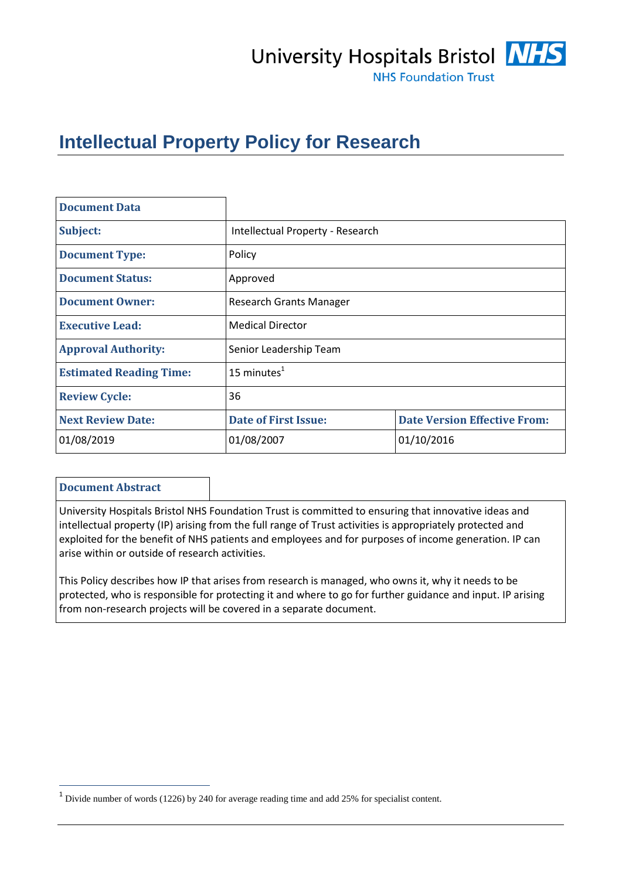# University Hospitals Bristol **NHS**



**NHS Foundation Trust** 

# **Intellectual Property Policy for Research**

| <b>Document Data</b>           |                                  |                                     |  |
|--------------------------------|----------------------------------|-------------------------------------|--|
| Subject:                       | Intellectual Property - Research |                                     |  |
| <b>Document Type:</b>          | Policy                           |                                     |  |
| <b>Document Status:</b>        | Approved                         |                                     |  |
| <b>Document Owner:</b>         | <b>Research Grants Manager</b>   |                                     |  |
| <b>Executive Lead:</b>         | <b>Medical Director</b>          |                                     |  |
| <b>Approval Authority:</b>     | Senior Leadership Team           |                                     |  |
| <b>Estimated Reading Time:</b> | 15 minutes $1$                   |                                     |  |
| <b>Review Cycle:</b>           | 36                               |                                     |  |
| <b>Next Review Date:</b>       | <b>Date of First Issue:</b>      | <b>Date Version Effective From:</b> |  |
| 01/08/2019                     | 01/08/2007                       | 01/10/2016                          |  |

#### **Document Abstract**

 $\overline{a}$ 

University Hospitals Bristol NHS Foundation Trust is committed to ensuring that innovative ideas and intellectual property (IP) arising from the full range of Trust activities is appropriately protected and exploited for the benefit of NHS patients and employees and for purposes of income generation. IP can arise within or outside of research activities.

This Policy describes how IP that arises from research is managed, who owns it, why it needs to be protected, who is responsible for protecting it and where to go for further guidance and input. IP arising from non-research projects will be covered in a separate document.

<sup>&</sup>lt;sup>1</sup> Divide number of words (1226) by 240 for average reading time and add 25% for specialist content.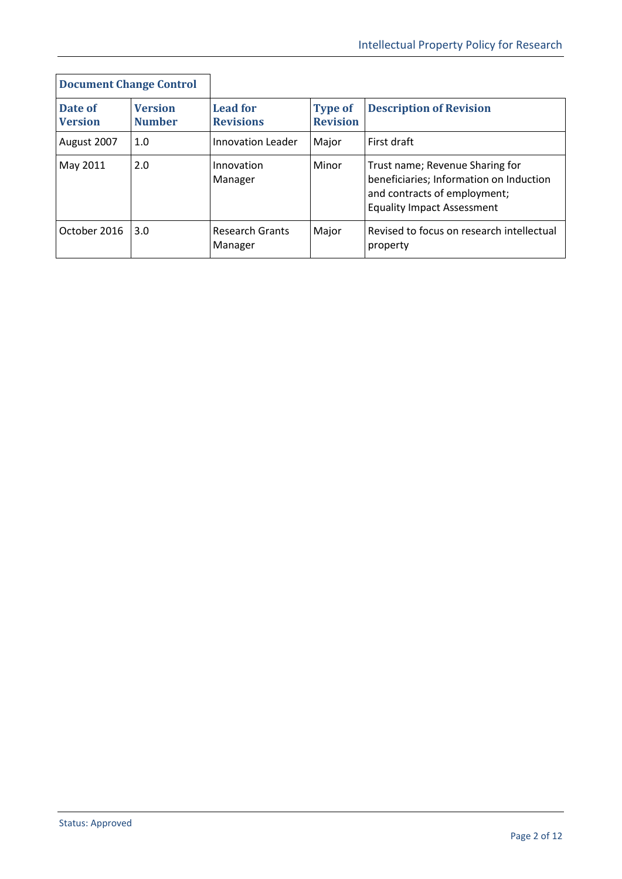| <b>Document Change Control</b> |                                 |                                     |                                   |                                                                                                                                                 |
|--------------------------------|---------------------------------|-------------------------------------|-----------------------------------|-------------------------------------------------------------------------------------------------------------------------------------------------|
| Date of<br><b>Version</b>      | <b>Version</b><br><b>Number</b> | <b>Lead for</b><br><b>Revisions</b> | <b>Type of</b><br><b>Revision</b> | <b>Description of Revision</b>                                                                                                                  |
| August 2007                    | 1.0                             | <b>Innovation Leader</b>            | Major                             | First draft                                                                                                                                     |
| May 2011                       | 2.0                             | Innovation<br>Manager               | Minor                             | Trust name; Revenue Sharing for<br>beneficiaries; Information on Induction<br>and contracts of employment;<br><b>Equality Impact Assessment</b> |
| October 2016                   | 3.0                             | <b>Research Grants</b><br>Manager   | Major                             | Revised to focus on research intellectual<br>property                                                                                           |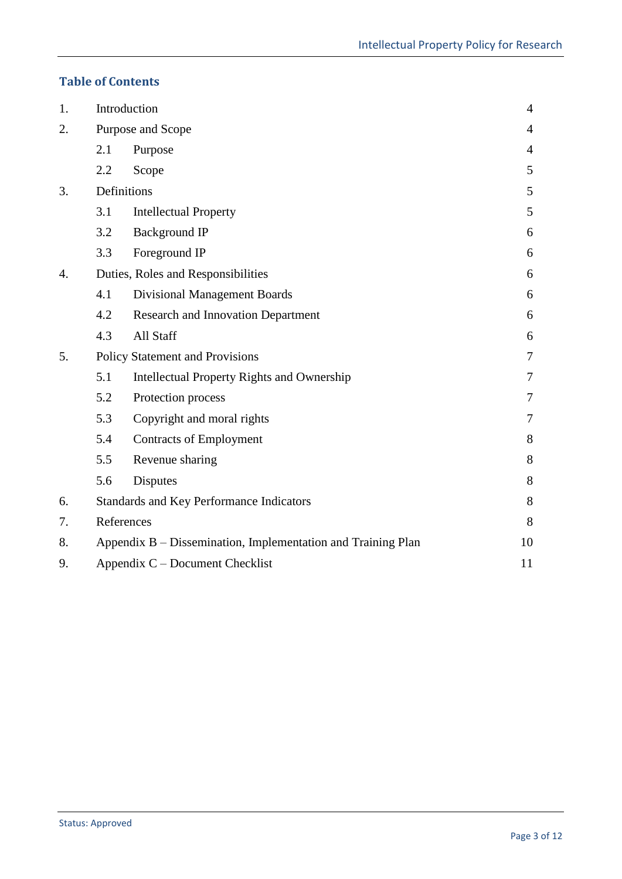# **Table of Contents**

| 1. | Introduction<br>$\overline{4}$                                     |                                                 |                |
|----|--------------------------------------------------------------------|-------------------------------------------------|----------------|
| 2. | Purpose and Scope<br>$\overline{4}$                                |                                                 |                |
|    | 2.1                                                                | Purpose                                         | $\overline{4}$ |
|    | 2.2                                                                | Scope                                           | 5              |
| 3. | Definitions                                                        |                                                 | 5              |
|    | 3.1                                                                | <b>Intellectual Property</b>                    | 5              |
|    | 3.2                                                                | <b>Background IP</b>                            | 6              |
|    | 3.3                                                                | Foreground IP                                   | 6              |
| 4. |                                                                    | Duties, Roles and Responsibilities              | 6              |
|    | 4.1                                                                | <b>Divisional Management Boards</b>             | 6              |
|    | 4.2                                                                | <b>Research and Innovation Department</b>       | 6              |
|    | 4.3                                                                | All Staff                                       | 6              |
| 5. |                                                                    | <b>Policy Statement and Provisions</b>          | $\tau$         |
|    | 5.1                                                                | Intellectual Property Rights and Ownership      | 7              |
|    | 5.2                                                                | Protection process                              | 7              |
|    | 5.3                                                                | Copyright and moral rights                      | 7              |
|    | 5.4                                                                | <b>Contracts of Employment</b>                  | 8              |
|    | 5.5                                                                | Revenue sharing                                 | 8              |
|    | 5.6                                                                | <b>Disputes</b>                                 | 8              |
| 6. |                                                                    | <b>Standards and Key Performance Indicators</b> | 8              |
| 7. | References                                                         |                                                 | 8              |
| 8. | Appendix B - Dissemination, Implementation and Training Plan<br>10 |                                                 |                |
| 9. |                                                                    | Appendix C – Document Checklist                 | 11             |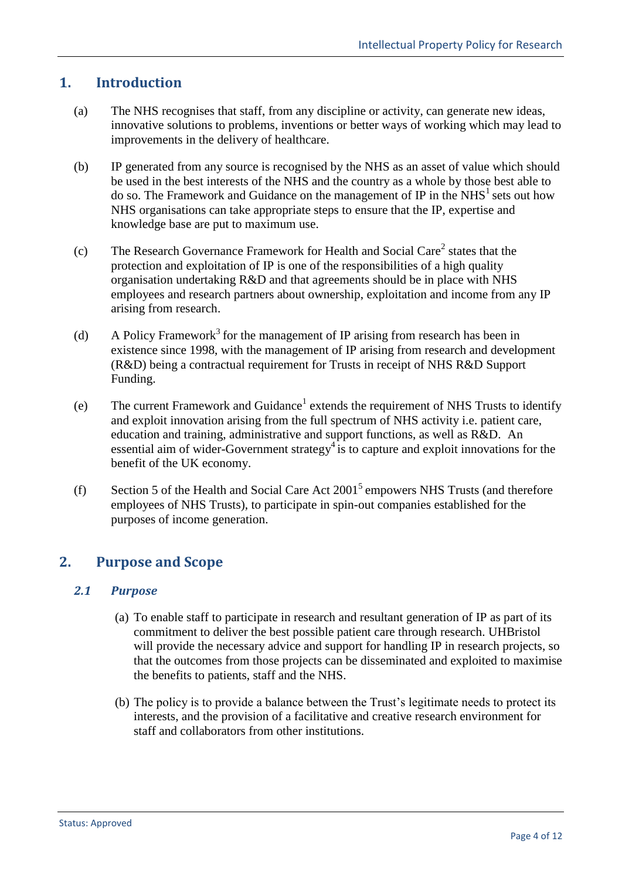# <span id="page-3-0"></span>**1. Introduction**

- (a) The NHS recognises that staff, from any discipline or activity, can generate new ideas, innovative solutions to problems, inventions or better ways of working which may lead to improvements in the delivery of healthcare.
- (b) IP generated from any source is recognised by the NHS as an asset of value which should be used in the best interests of the NHS and the country as a whole by those best able to do so. The Framework and Guidance on the management of IP in the  $NHS<sup>1</sup>$  sets out how NHS organisations can take appropriate steps to ensure that the IP, expertise and knowledge base are put to maximum use.
- (c) The Research Governance Framework for Health and Social Care<sup>2</sup> states that the protection and exploitation of IP is one of the responsibilities of a high quality organisation undertaking R&D and that agreements should be in place with NHS employees and research partners about ownership, exploitation and income from any IP arising from research.
- (d) A Policy Framework<sup>3</sup> for the management of IP arising from research has been in existence since 1998, with the management of IP arising from research and development (R&D) being a contractual requirement for Trusts in receipt of NHS R&D Support Funding.
- (e) The current Framework and Guidance<sup>1</sup> extends the requirement of NHS Trusts to identify and exploit innovation arising from the full spectrum of NHS activity i.e. patient care, education and training, administrative and support functions, as well as R&D. An essential aim of wider-Government strategy<sup>4</sup> is to capture and exploit innovations for the benefit of the UK economy.
- (f) Section 5 of the Health and Social Care Act  $2001<sup>5</sup>$  empowers NHS Trusts (and therefore employees of NHS Trusts), to participate in spin-out companies established for the purposes of income generation.

# <span id="page-3-1"></span>**2. Purpose and Scope**

#### <span id="page-3-2"></span>*2.1 Purpose*

- (a) To enable staff to participate in research and resultant generation of IP as part of its commitment to deliver the best possible patient care through research. UHBristol will provide the necessary advice and support for handling IP in research projects, so that the outcomes from those projects can be disseminated and exploited to maximise the benefits to patients, staff and the NHS.
- (b) The policy is to provide a balance between the Trust's legitimate needs to protect its interests, and the provision of a facilitative and creative research environment for staff and collaborators from other institutions.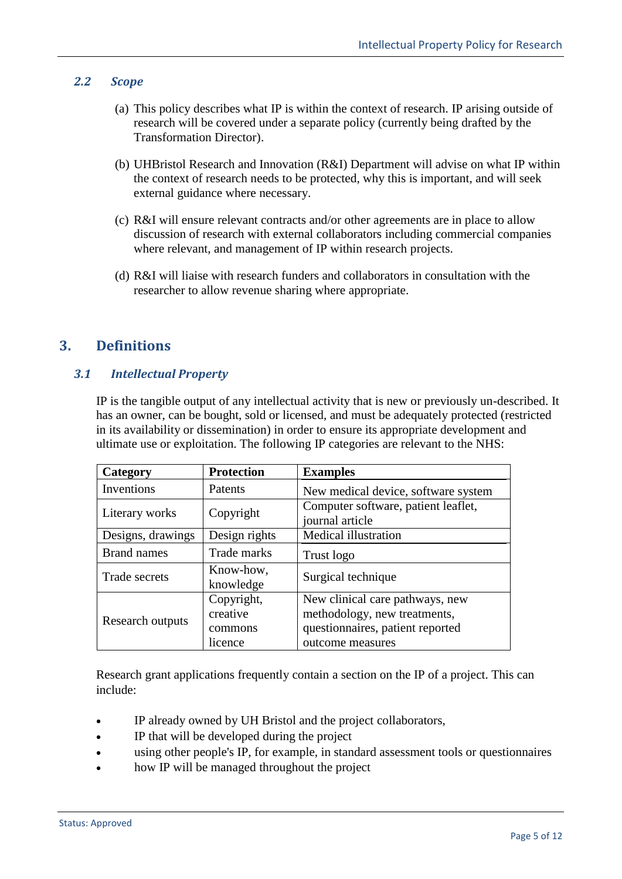#### <span id="page-4-0"></span>*2.2 Scope*

- (a) This policy describes what IP is within the context of research. IP arising outside of research will be covered under a separate policy (currently being drafted by the Transformation Director).
- (b) UHBristol Research and Innovation (R&I) Department will advise on what IP within the context of research needs to be protected, why this is important, and will seek external guidance where necessary.
- (c) R&I will ensure relevant contracts and/or other agreements are in place to allow discussion of research with external collaborators including commercial companies where relevant, and management of IP within research projects.
- (d) R&I will liaise with research funders and collaborators in consultation with the researcher to allow revenue sharing where appropriate.

## <span id="page-4-1"></span>**3. Definitions**

#### <span id="page-4-2"></span>*3.1 Intellectual Property*

IP is the tangible output of any intellectual activity that is new or previously un-described. It has an owner, can be bought, sold or licensed, and must be adequately protected (restricted in its availability or dissemination) in order to ensure its appropriate development and ultimate use or exploitation. The following IP categories are relevant to the NHS:

| Category           | <b>Protection</b>                            | <b>Examples</b>                                                                                                         |
|--------------------|----------------------------------------------|-------------------------------------------------------------------------------------------------------------------------|
| Inventions         | <b>Patents</b>                               | New medical device, software system                                                                                     |
| Literary works     | Copyright                                    | Computer software, patient leaflet,<br>journal article                                                                  |
| Designs, drawings  | Design rights                                | <b>Medical illustration</b>                                                                                             |
| <b>Brand names</b> | Trade marks                                  | Trust logo                                                                                                              |
| Trade secrets      | Know-how,<br>knowledge                       | Surgical technique                                                                                                      |
| Research outputs   | Copyright,<br>creative<br>commons<br>licence | New clinical care pathways, new<br>methodology, new treatments,<br>questionnaires, patient reported<br>outcome measures |

Research grant applications frequently contain a section on the IP of a project. This can include:

- IP already owned by UH Bristol and the project collaborators,
- IP that will be developed during the project
- using other people's IP, for example, in standard assessment tools or questionnaires
- how IP will be managed throughout the project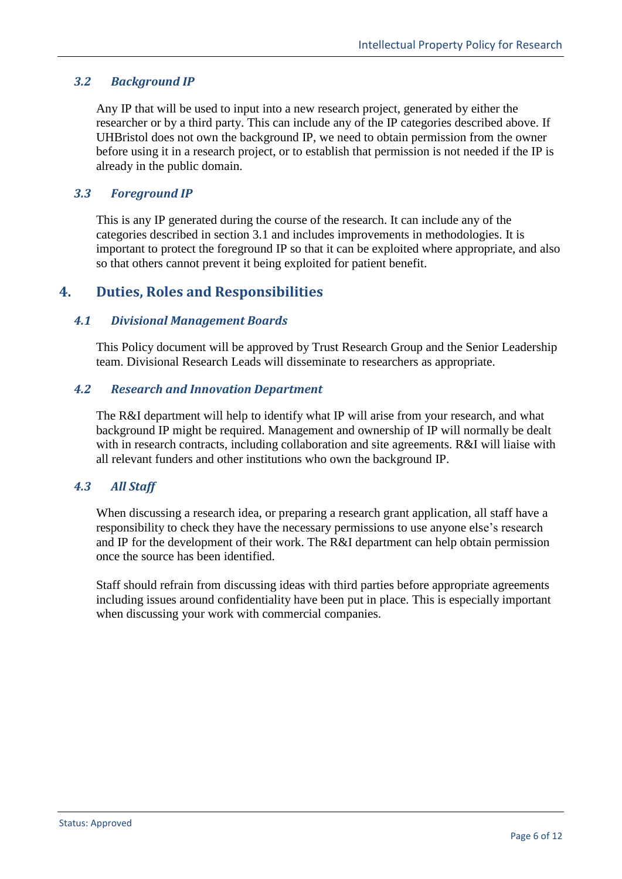#### <span id="page-5-0"></span>*3.2 Background IP*

Any IP that will be used to input into a new research project, generated by either the researcher or by a third party. This can include any of the IP categories described above. If UHBristol does not own the background IP, we need to obtain permission from the owner before using it in a research project, or to establish that permission is not needed if the IP is already in the public domain.

#### <span id="page-5-1"></span>*3.3 Foreground IP*

This is any IP generated during the course of the research. It can include any of the categories described in section 3.1 and includes improvements in methodologies. It is important to protect the foreground IP so that it can be exploited where appropriate, and also so that others cannot prevent it being exploited for patient benefit.

## <span id="page-5-2"></span>**4. Duties, Roles and Responsibilities**

#### <span id="page-5-3"></span>*4.1 Divisional Management Boards*

This Policy document will be approved by Trust Research Group and the Senior Leadership team. Divisional Research Leads will disseminate to researchers as appropriate.

#### <span id="page-5-4"></span>*4.2 Research and Innovation Department*

The R&I department will help to identify what IP will arise from your research, and what background IP might be required. Management and ownership of IP will normally be dealt with in research contracts, including collaboration and site agreements. R&I will liaise with all relevant funders and other institutions who own the background IP.

#### <span id="page-5-5"></span>*4.3 All Staff*

When discussing a research idea, or preparing a research grant application, all staff have a responsibility to check they have the necessary permissions to use anyone else's research and IP for the development of their work. The R&I department can help obtain permission once the source has been identified.

Staff should refrain from discussing ideas with third parties before appropriate agreements including issues around confidentiality have been put in place. This is especially important when discussing your work with commercial companies.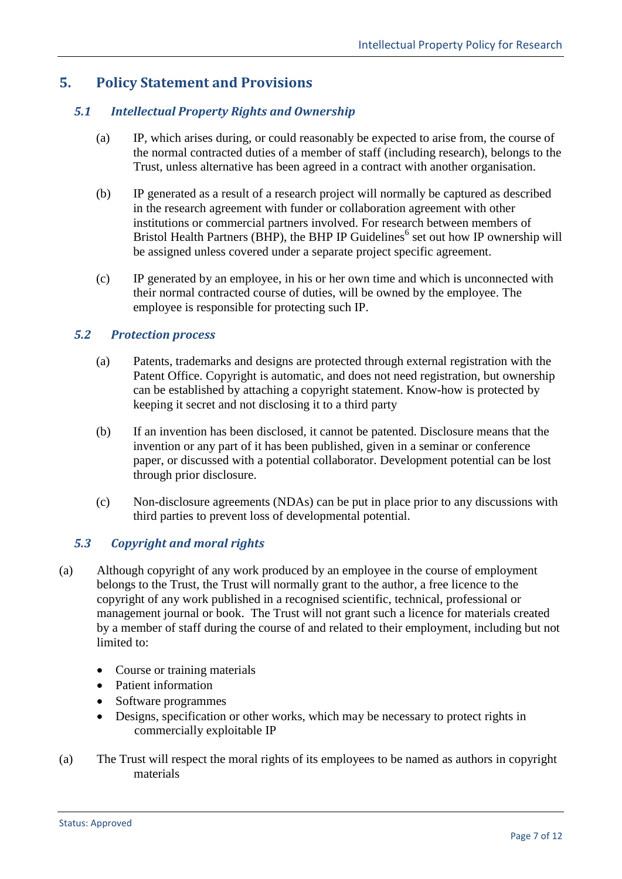# <span id="page-6-0"></span>**5. Policy Statement and Provisions**

#### <span id="page-6-1"></span>*5.1 Intellectual Property Rights and Ownership*

- (a) IP, which arises during, or could reasonably be expected to arise from, the course of the normal contracted duties of a member of staff (including research), belongs to the Trust, unless alternative has been agreed in a contract with another organisation.
- (b) IP generated as a result of a research project will normally be captured as described in the research agreement with funder or collaboration agreement with other institutions or commercial partners involved. For research between members of Bristol Health Partners (BHP), the BHP IP Guidelines<sup>6</sup> set out how IP ownership will be assigned unless covered under a separate project specific agreement.
- (c) IP generated by an employee, in his or her own time and which is unconnected with their normal contracted course of duties, will be owned by the employee. The employee is responsible for protecting such IP.

#### <span id="page-6-2"></span>*5.2 Protection process*

- (a) Patents, trademarks and designs are protected through external registration with the Patent Office. Copyright is automatic, and does not need registration, but ownership can be established by attaching a copyright statement. Know-how is protected by keeping it secret and not disclosing it to a third party
- (b) If an invention has been disclosed, it cannot be patented. Disclosure means that the invention or any part of it has been published, given in a seminar or conference paper, or discussed with a potential collaborator. Development potential can be lost through prior disclosure.
- (c) Non-disclosure agreements (NDAs) can be put in place prior to any discussions with third parties to prevent loss of developmental potential.

#### <span id="page-6-3"></span>*5.3 Copyright and moral rights*

- (a) Although copyright of any work produced by an employee in the course of employment belongs to the Trust, the Trust will normally grant to the author, a free licence to the copyright of any work published in a recognised scientific, technical, professional or management journal or book. The Trust will not grant such a licence for materials created by a member of staff during the course of and related to their employment, including but not limited to:
	- Course or training materials
	- Patient information
	- Software programmes
	- Designs, specification or other works, which may be necessary to protect rights in commercially exploitable IP
- (a) The Trust will respect the moral rights of its employees to be named as authors in copyright materials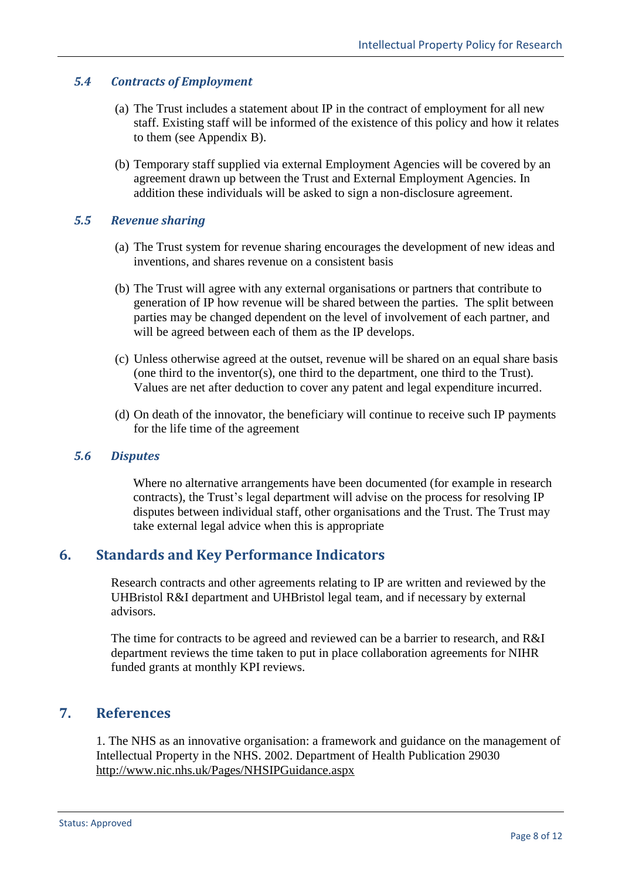#### <span id="page-7-0"></span>*5.4 Contracts of Employment*

- (a) The Trust includes a statement about IP in the contract of employment for all new staff. Existing staff will be informed of the existence of this policy and how it relates to them (see Appendix B).
- (b) Temporary staff supplied via external Employment Agencies will be covered by an agreement drawn up between the Trust and External Employment Agencies. In addition these individuals will be asked to sign a non-disclosure agreement.

#### <span id="page-7-1"></span>*5.5 Revenue sharing*

- (a) The Trust system for revenue sharing encourages the development of new ideas and inventions, and shares revenue on a consistent basis
- (b) The Trust will agree with any external organisations or partners that contribute to generation of IP how revenue will be shared between the parties. The split between parties may be changed dependent on the level of involvement of each partner, and will be agreed between each of them as the IP develops.
- (c) Unless otherwise agreed at the outset, revenue will be shared on an equal share basis (one third to the inventor(s), one third to the department, one third to the Trust). Values are net after deduction to cover any patent and legal expenditure incurred.
- (d) On death of the innovator, the beneficiary will continue to receive such IP payments for the life time of the agreement

#### <span id="page-7-2"></span>*5.6 Disputes*

Where no alternative arrangements have been documented (for example in research contracts), the Trust's legal department will advise on the process for resolving IP disputes between individual staff, other organisations and the Trust. The Trust may take external legal advice when this is appropriate

#### <span id="page-7-3"></span>**6. Standards and Key Performance Indicators**

Research contracts and other agreements relating to IP are written and reviewed by the UHBristol R&I department and UHBristol legal team, and if necessary by external advisors.

The time for contracts to be agreed and reviewed can be a barrier to research, and R&I department reviews the time taken to put in place collaboration agreements for NIHR funded grants at monthly KPI reviews.

#### <span id="page-7-4"></span>**7. References**

1. The NHS as an innovative organisation: a framework and guidance on the management of Intellectual Property in the NHS. 2002. Department of Health Publication 29030 <http://www.nic.nhs.uk/Pages/NHSIPGuidance.aspx>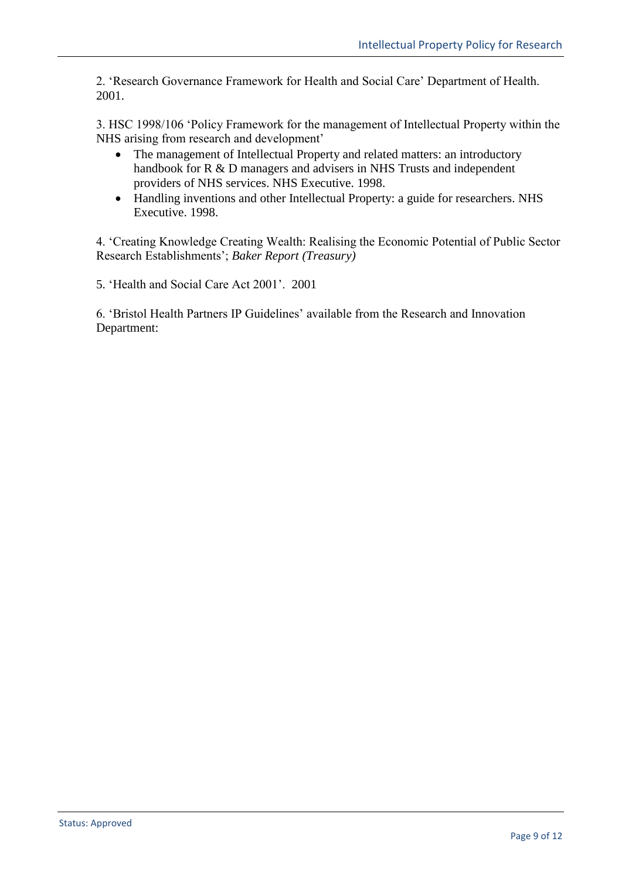2. 'Research Governance Framework for Health and Social Care' Department of Health. 2001.

3. HSC 1998/106 'Policy Framework for the management of Intellectual Property within the NHS arising from research and development'

- The management of Intellectual Property and related matters: an introductory handbook for R & D managers and advisers in NHS Trusts and independent providers of NHS services. NHS Executive. 1998.
- Handling inventions and other Intellectual Property: a guide for researchers. NHS Executive. 1998.

4. 'Creating Knowledge Creating Wealth: Realising the Economic Potential of Public Sector Research Establishments'; *Baker Report (Treasury)*

5. 'Health and Social Care Act 2001'. 2001

6. 'Bristol Health Partners IP Guidelines' available from the Research and Innovation Department: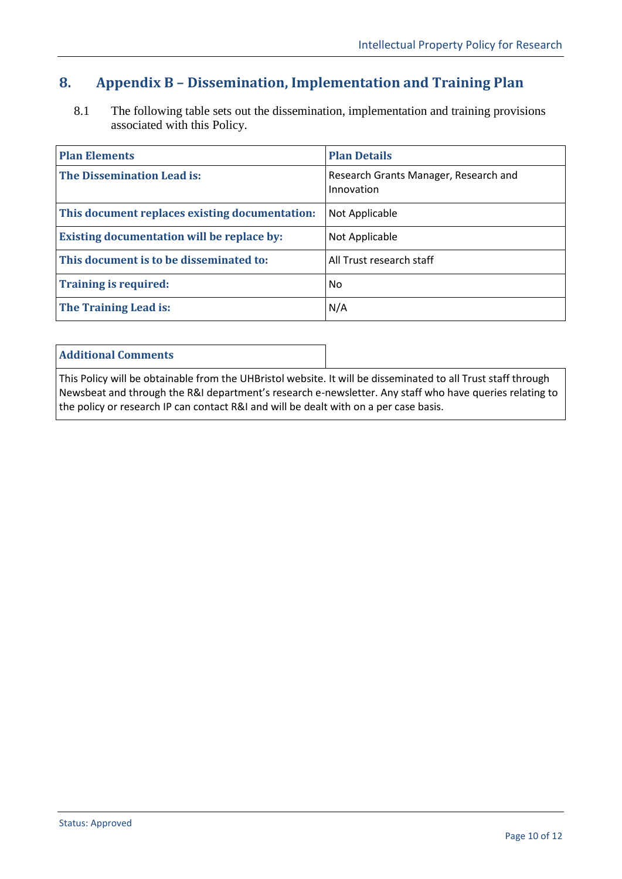# <span id="page-9-0"></span>**8. Appendix B – Dissemination, Implementation and Training Plan**

8.1 The following table sets out the dissemination, implementation and training provisions associated with this Policy.

| <b>Plan Elements</b>                              | <b>Plan Details</b>                                 |
|---------------------------------------------------|-----------------------------------------------------|
| <b>The Dissemination Lead is:</b>                 | Research Grants Manager, Research and<br>Innovation |
| This document replaces existing documentation:    | Not Applicable                                      |
| <b>Existing documentation will be replace by:</b> | Not Applicable                                      |
| This document is to be disseminated to:           | All Trust research staff                            |
| <b>Training is required:</b>                      | N <sub>0</sub>                                      |
| The Training Lead is:                             | N/A                                                 |

#### **Additional Comments**

This Policy will be obtainable from the UHBristol website. It will be disseminated to all Trust staff through Newsbeat and through the R&I department's research e-newsletter. Any staff who have queries relating to the policy or research IP can contact R&I and will be dealt with on a per case basis.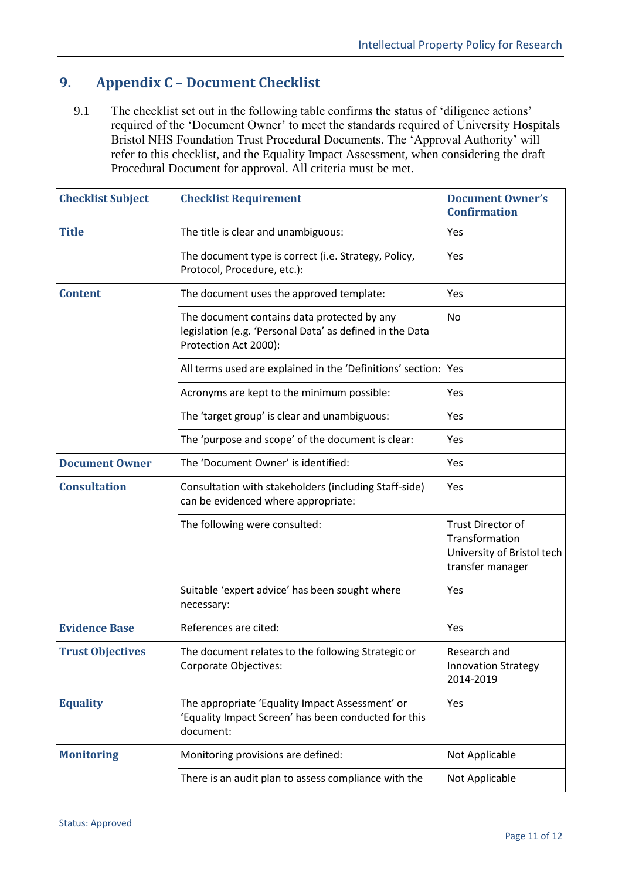# <span id="page-10-0"></span>**9. Appendix C – Document Checklist**

9.1 The checklist set out in the following table confirms the status of 'diligence actions' required of the 'Document Owner' to meet the standards required of University Hospitals Bristol NHS Foundation Trust Procedural Documents. The 'Approval Authority' will refer to this checklist, and the Equality Impact Assessment, when considering the draft Procedural Document for approval. All criteria must be met.

| <b>Checklist Subject</b> | <b>Checklist Requirement</b>                                                                                                     | <b>Document Owner's</b><br><b>Confirmation</b>                                               |
|--------------------------|----------------------------------------------------------------------------------------------------------------------------------|----------------------------------------------------------------------------------------------|
| <b>Title</b>             | The title is clear and unambiguous:                                                                                              | Yes                                                                                          |
|                          | The document type is correct (i.e. Strategy, Policy,<br>Protocol, Procedure, etc.):                                              | Yes                                                                                          |
| <b>Content</b>           | The document uses the approved template:                                                                                         | Yes                                                                                          |
|                          | The document contains data protected by any<br>legislation (e.g. 'Personal Data' as defined in the Data<br>Protection Act 2000): | No                                                                                           |
|                          | All terms used are explained in the 'Definitions' section:                                                                       | Yes                                                                                          |
|                          | Acronyms are kept to the minimum possible:                                                                                       | Yes                                                                                          |
|                          | The 'target group' is clear and unambiguous:                                                                                     | Yes                                                                                          |
|                          | The 'purpose and scope' of the document is clear:                                                                                | Yes                                                                                          |
| <b>Document Owner</b>    | The 'Document Owner' is identified:                                                                                              | Yes                                                                                          |
| <b>Consultation</b>      | Consultation with stakeholders (including Staff-side)<br>can be evidenced where appropriate:                                     | Yes                                                                                          |
|                          | The following were consulted:                                                                                                    | <b>Trust Director of</b><br>Transformation<br>University of Bristol tech<br>transfer manager |
|                          | Suitable 'expert advice' has been sought where<br>necessary:                                                                     | Yes                                                                                          |
| <b>Evidence Base</b>     | References are cited:                                                                                                            | Yes                                                                                          |
| <b>Trust Objectives</b>  | The document relates to the following Strategic or<br>Corporate Objectives:                                                      | Research and<br><b>Innovation Strategy</b><br>2014-2019                                      |
| <b>Equality</b>          | The appropriate 'Equality Impact Assessment' or<br>'Equality Impact Screen' has been conducted for this<br>document:             | Yes                                                                                          |
| <b>Monitoring</b>        | Monitoring provisions are defined:                                                                                               | Not Applicable                                                                               |
|                          | There is an audit plan to assess compliance with the                                                                             | Not Applicable                                                                               |